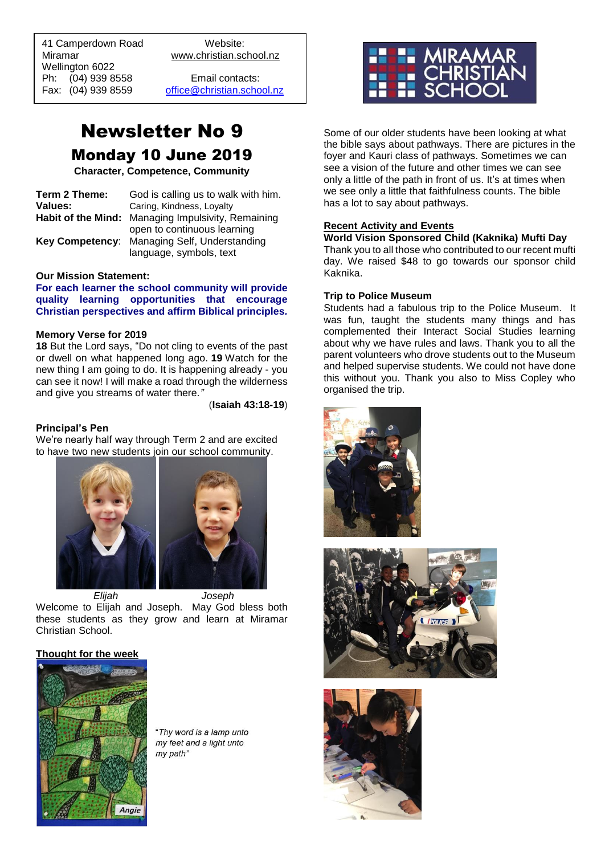41 Camperdown Road Website: Miramar www.christian.school.nz Wellington 6022 Ph: (04) 939 8558 Email contacts:

 $\overline{a}$ 

Fax: (04) 939 8559 [office@christian.school.nz](mailto:office@christian.school.nz)

# Newsletter No 9 Monday 10 June 2019

**Character, Competence, Community**

| Term 2 Theme: | God is calling us to walk with him.                |
|---------------|----------------------------------------------------|
| Values:       | Caring, Kindness, Loyalty                          |
|               | Habit of the Mind: Managing Impulsivity, Remaining |
|               | open to continuous learning                        |
|               | Key Competency: Managing Self, Understanding       |
|               | language, symbols, text                            |

#### **Our Mission Statement:**

**For each learner the school community will provide quality learning opportunities that encourage Christian perspectives and affirm Biblical principles***.*

#### **Memory Verse for 2019**

**18** But the Lord says, "Do not cling to events of the past or dwell on what happened long ago. **19** Watch for the new thing I am going to do. It is happening already - you can see it now! I will make a road through the wilderness and give you streams of water there*."*

(**Isaiah 43:18-19**)

#### **Principal's Pen**

We're nearly half way through Term 2 and are excited to have two new students join our school community.



*Elijah Joseph*

Welcome to Elijah and Joseph. May God bless both these students as they grow and learn at Miramar Christian School.

#### **Thought for the week**



"Thy word is a lamp unto my feet and a light unto my path"



Some of our older students have been looking at what the bible says about pathways. There are pictures in the foyer and Kauri class of pathways. Sometimes we can see a vision of the future and other times we can see only a little of the path in front of us. It's at times when we see only a little that faithfulness counts. The bible has a lot to say about pathways.

#### **Recent Activity and Events**

**World Vision Sponsored Child (Kaknika) Mufti Day**  Thank you to all those who contributed to our recent mufti day. We raised \$48 to go towards our sponsor child Kaknika.

#### **Trip to Police Museum**

Students had a fabulous trip to the Police Museum. It was fun, taught the students many things and has complemented their Interact Social Studies learning about why we have rules and laws. Thank you to all the parent volunteers who drove students out to the Museum and helped supervise students. We could not have done this without you. Thank you also to Miss Copley who organised the trip.





![](_page_0_Picture_28.jpeg)

![](_page_0_Picture_29.jpeg)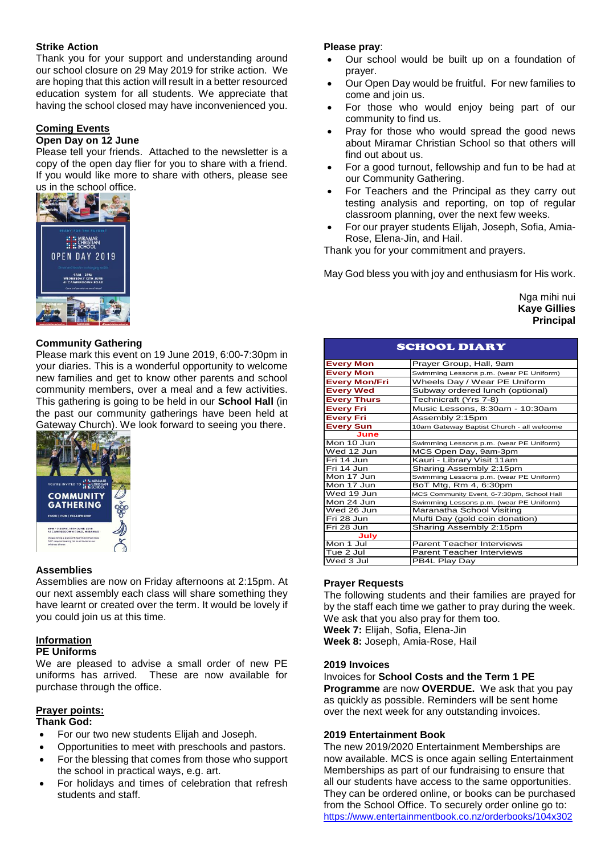# **Strike Action**

Thank you for your support and understanding around our school closure on 29 May 2019 for strike action. We are hoping that this action will result in a better resourced education system for all students. We appreciate that having the school closed may have inconvenienced you.

# **Coming Events**

## **Open Day on 12 June**

Please tell your friends. Attached to the newsletter is a copy of the open day flier for you to share with a friend. If you would like more to share with others, please see us in the school office.

![](_page_1_Picture_5.jpeg)

# **Community Gathering**

Please mark this event on 19 June 2019, 6:00-7:30pm in your diaries. This is a wonderful opportunity to welcome new families and get to know other parents and school community members, over a meal and a few activities. This gathering is going to be held in our **School Hall** (in the past our community gatherings have been held at Gateway Church). We look forward to seeing you there.

![](_page_1_Picture_8.jpeg)

#### **Assemblies**

Assemblies are now on Friday afternoons at 2:15pm. At our next assembly each class will share something they have learnt or created over the term. It would be lovely if you could join us at this time.

# **Information**

# **PE Uniforms**

We are pleased to advise a small order of new PE uniforms has arrived. These are now available for purchase through the office.

# **Prayer points:**

# **Thank God:**

- For our two new students Elijah and Joseph.
- Opportunities to meet with preschools and pastors.
- For the blessing that comes from those who support the school in practical ways, e.g. art.
- For holidays and times of celebration that refresh students and staff.

## **Please pray**:

- Our school would be built up on a foundation of prayer.
- Our Open Day would be fruitful. For new families to come and join us.
- For those who would enjoy being part of our community to find us.
- Pray for those who would spread the good news about Miramar Christian School so that others will find out about us.
- For a good turnout, fellowship and fun to be had at our Community Gathering.
- For Teachers and the Principal as they carry out testing analysis and reporting, on top of regular classroom planning, over the next few weeks.
- For our prayer students Elijah, Joseph, Sofia, Amia-Rose, Elena-Jin, and Hail.

Thank you for your commitment and prayers.

May God bless you with joy and enthusiasm for His work.

Nga mihi nui **Kaye Gillies Principal**

| <b>SCHOOL DIARY</b>  |                                            |
|----------------------|--------------------------------------------|
| <b>Every Mon</b>     | Prayer Group, Hall, 9am                    |
| <b>Every Mon</b>     | Swimming Lessons p.m. (wear PE Uniform)    |
| <b>Every Mon/Fri</b> | Wheels Day / Wear PE Uniform               |
| <b>Every Wed</b>     | Subway ordered lunch (optional)            |
| <b>Every Thurs</b>   | Technicraft (Yrs 7-8)                      |
| <b>Every Fri</b>     | Music Lessons, 8:30am - 10:30am            |
| <b>Every Fri</b>     | Assembly 2:15pm                            |
| <b>Every Sun</b>     | 10am Gateway Baptist Church - all welcome  |
| June                 |                                            |
| Mon 10 Jun           | Swimming Lessons p.m. (wear PE Uniform)    |
| Wed 12 Jun           | MCS Open Day, 9am-3pm                      |
| Fri 14 Jun           | Kauri - Library Visit 11am                 |
| Fri 14 Jun           | Sharing Assembly 2:15pm                    |
| Mon 17 Jun           | Swimming Lessons p.m. (wear PE Uniform)    |
| Mon 17 Jun           | BoT Mtg, Rm 4, 6:30pm                      |
| Wed 19 Jun           | MCS Community Event, 6-7:30pm, School Hall |
| Mon 24 Jun           | Swimming Lessons p.m. (wear PE Uniform)    |
| Wed 26 Jun           | Maranatha School Visiting                  |
| Fri 28 Jun           | Mufti Day (gold coin donation)             |
| Fri 28 Jun           | Sharing Assembly 2:15pm                    |
| July                 |                                            |
| Mon 1 Jul            | <b>Parent Teacher Interviews</b>           |
| Tue 2 Jul            | <b>Parent Teacher Interviews</b>           |
| Wed 3 Jul            | PB4L Play Day                              |

# **Prayer Requests**

The following students and their families are prayed for by the staff each time we gather to pray during the week. We ask that you also pray for them too. **Week 7:** Elijah, Sofia, Elena-Jin **Week 8:** Joseph, Amia-Rose, Hail

#### **2019 Invoices**

Invoices for **School Costs and the Term 1 PE Programme** are now **OVERDUE.** We ask that you pay as quickly as possible. Reminders will be sent home over the next week for any outstanding invoices.

#### **2019 Entertainment Book**

The new 2019/2020 Entertainment Memberships are now available. MCS is once again selling Entertainment Memberships as part of our fundraising to ensure that all our students have access to the same opportunities. They can be ordered online, or books can be purchased from the School Office. To securely order online go to: <https://www.entertainmentbook.co.nz/orderbooks/104x302>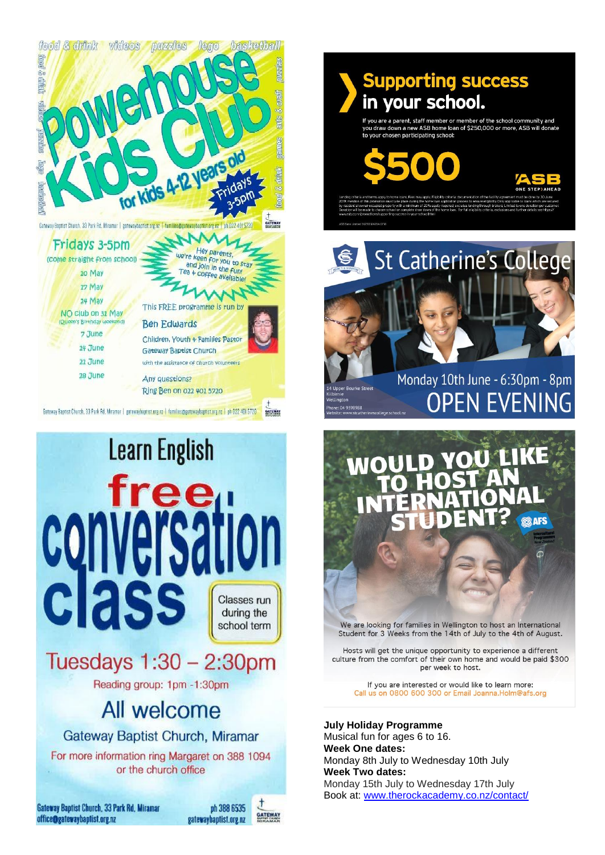![](_page_2_Picture_0.jpeg)

![](_page_2_Picture_1.jpeg)

# **Supporting success** in your school.

are a parent, staff member or member of the school community and<br>aw down a new ASB home loan of \$250,000 or more, ASB will donate participating school:

![](_page_2_Picture_5.jpeg)

![](_page_2_Picture_8.jpeg)

Monday 10th June - 6:30pm - 8pm **OPEN EVENING** 

We are looking for families in Wellington to host an International Student for 3 Weeks from the 14th of July to the 4th of August.

Hosts will get the unique opportunity to experience a different culture from the comfort of their own home and would be paid \$300 per week to host.

If you are interested or would like to learn more: Call us on 0800 600 300 or Email Joanna.Holm@afs.org

**July Holiday Programme** 

Musical fun for ages 6 to 16. **Week One dates:** Monday 8th July to Wednesday 10th July **Week Two dates:** Monday 15th July to Wednesday 17th July Book at: www.therockacademy.co.nz/contact/